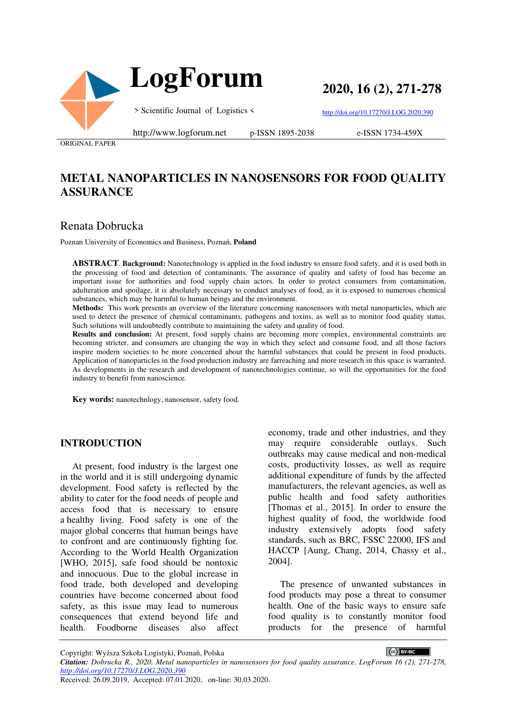



**2020, 16 (2), 271-278**

> Scientific Journal of Logistics <

http://doi.org/10.17270/J.LOG.2020.390

ORIGINAL PAPER

#### http://www.logforum.net p-ISSN 1895-2038

e-ISSN 1734-459X

# **METAL NANOPARTICLES IN NANOSENSORS FOR FOOD QUALITY ASSURANCE**

## Renata Dobrucka

Poznan University of Economics and Business, Poznań, **Poland**

**ABSTRACT**. **Background:** Nanotechnology is applied in the food industry to ensure food safety, and it is used both in the processing of food and detection of contaminants. The assurance of quality and safety of food has become an important issue for authorities and food supply chain actors. In order to protect consumers from contamination, adulteration and spoilage, it is absolutely necessary to conduct analyses of food, as it is exposed to numerous chemical substances, which may be harmful to human beings and the environment.

**Methods:** This work presents an overview of the literature concerning nanosensors with metal nanoparticles, which are used to detect the presence of chemical contaminants, pathogens and toxins, as well as to monitor food quality status. Such solutions will undoubtedly contribute to maintaining the safety and quality of food.

**Results and conclusion:** At present, food supply chains are becoming more complex, environmental constraints are becoming stricter, and consumers are changing the way in which they select and consume food, and all those factors inspire modern societies to be more concerned about the harmful substances that could be present in food products. Application of nanoparticles in the food production industry are farreaching and more research in this space is warranted. As developments in the research and development of nanotechnologies continue, so will the opportunities for the food industry to benefit from nanoscience.

**Key words:** nanotechnlogy, nanosensor, safety food.

#### **INTRODUCTION**

At present, food industry is the largest one in the world and it is still undergoing dynamic development. Food safety is reflected by the ability to cater for the food needs of people and access food that is necessary to ensure a healthy living. Food safety is one of the major global concerns that human beings have to confront and are continuously fighting for. According to the World Health Organization [WHO, 2015], safe food should be nontoxic and innocuous. Due to the global increase in food trade, both developed and developing countries have become concerned about food safety, as this issue may lead to numerous consequences that extend beyond life and health. Foodborne diseases also affect

economy, trade and other industries, and they may require considerable outlays. Such outbreaks may cause medical and non-medical costs, productivity losses, as well as require additional expenditure of funds by the affected manufacturers, the relevant agencies, as well as public health and food safety authorities [Thomas et al., 2015]. In order to ensure the highest quality of food, the worldwide food industry extensively adopts food safety standards, such as BRC, FSSC 22000, IFS and HACCP [Aung, Chang, 2014, Chassy et al., 2004].

The presence of unwanted substances in food products may pose a threat to consumer health. One of the basic ways to ensure safe food quality is to constantly monitor food products for the presence of harmful

CC BY-NC

Copyright: Wyższa Szkoła Logistyki, Poznań, Polska

*Citation: Dobrucka R., 2020. Metal nanoparticles in nanosensors for food quality assurance. LogForum 16 (2), 271-278, http://doi.org/10.17270/J.LOG.2020.390*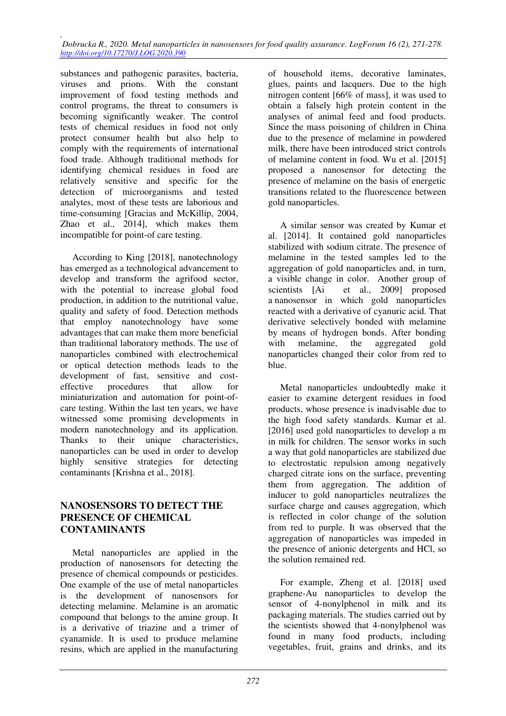substances and pathogenic parasites, bacteria, viruses and prions. With the constant improvement of food testing methods and control programs, the threat to consumers is becoming significantly weaker. The control tests of chemical residues in food not only protect consumer health but also help to comply with the requirements of international food trade. Although traditional methods for identifying chemical residues in food are relatively sensitive and specific for the detection of microorganisms and tested analytes, most of these tests are laborious and time-consuming [Gracias and McKillip, 2004, Zhao et al., 2014], which makes them incompatible for point-of care testing.

According to King [2018], nanotechnology has emerged as a technological advancement to develop and transform the agrifood sector, with the potential to increase global food production, in addition to the nutritional value, quality and safety of food. Detection methods that employ nanotechnology have some advantages that can make them more beneficial than traditional laboratory methods. The use of nanoparticles combined with electrochemical or optical detection methods leads to the development of fast, sensitive and costeffective procedures that allow for miniaturization and automation for point-ofcare testing. Within the last ten years, we have witnessed some promising developments in modern nanotechnology and its application. Thanks to their unique characteristics, nanoparticles can be used in order to develop highly sensitive strategies for detecting contaminants [Krishna et al., 2018].

### **NANOSENSORS TO DETECT THE PRESENCE OF CHEMICAL CONTAMINANTS**

Metal nanoparticles are applied in the production of nanosensors for detecting the presence of chemical compounds or pesticides. One example of the use of metal nanoparticles is the development of nanosensors for detecting melamine. Melamine is an aromatic compound that belongs to the amine group. It is a derivative of triazine and a trimer of cyanamide. It is used to produce melamine resins, which are applied in the manufacturing

of household items, decorative laminates, glues, paints and lacquers. Due to the high nitrogen content [66% of mass], it was used to obtain a falsely high protein content in the analyses of animal feed and food products. Since the mass poisoning of children in China due to the presence of melamine in powdered milk, there have been introduced strict controls of melamine content in food. Wu et al. [2015] proposed a nanosensor for detecting the presence of melamine on the basis of energetic transitions related to the fluorescence between gold nanoparticles.

A similar sensor was created by Kumar et al. [2014]. It contained gold nanoparticles stabilized with sodium citrate. The presence of melamine in the tested samples led to the aggregation of gold nanoparticles and, in turn, a visible change in color. Another group of scientists [Ai et al., 2009] proposed a nanosensor in which gold nanoparticles reacted with a derivative of cyanuric acid. That derivative selectively bonded with melamine by means of hydrogen bonds. After bonding with melamine, the aggregated gold nanoparticles changed their color from red to blue.

Metal nanoparticles undoubtedly make it easier to examine detergent residues in food products, whose presence is inadvisable due to the high food safety standards. Kumar et al. [2016] used gold nanoparticles to develop a m in milk for children. The sensor works in such a way that gold nanoparticles are stabilized due to electrostatic repulsion among negatively charged citrate ions on the surface, preventing them from aggregation. The addition of inducer to gold nanoparticles neutralizes the surface charge and causes aggregation, which is reflected in color change of the solution from red to purple. It was observed that the aggregation of nanoparticles was impeded in the presence of anionic detergents and HCl, so the solution remained red.

For example, Zheng et al. [2018] used graphene-Au nanoparticles to develop the sensor of 4-nonylphenol in milk and its packaging materials. The studies carried out by the scientists showed that 4-nonylphenol was found in many food products, including vegetables, fruit, grains and drinks, and its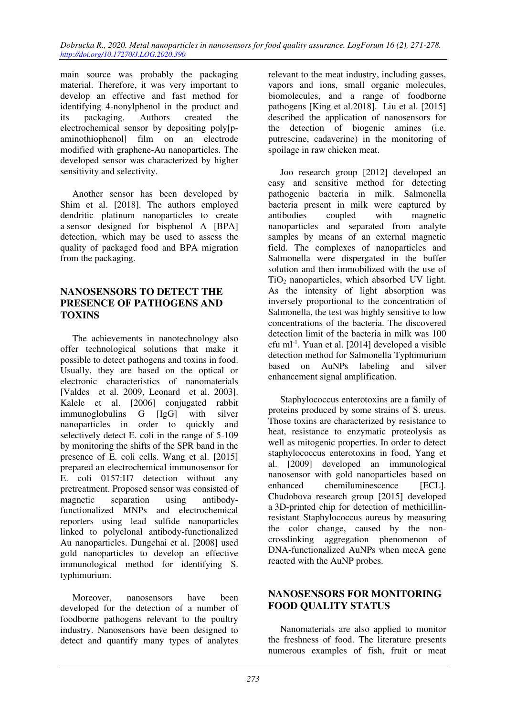main source was probably the packaging material. Therefore, it was very important to develop an effective and fast method for identifying 4-nonylphenol in the product and its packaging. Authors created the electrochemical sensor by depositing poly[paminothiophenol] film on an electrode modified with graphene-Au nanoparticles. The developed sensor was characterized by higher sensitivity and selectivity.

Another sensor has been developed by Shim et al. [2018]. The authors employed dendritic platinum nanoparticles to create a sensor designed for bisphenol A [BPA] detection, which may be used to assess the quality of packaged food and BPA migration from the packaging.

### **NANOSENSORS TO DETECT THE PRESENCE OF PATHOGENS AND TOXINS**

The achievements in nanotechnology also offer technological solutions that make it possible to detect pathogens and toxins in food. Usually, they are based on the optical or electronic characteristics of nanomaterials [Valdes et al. 2009, Leonard et al. 2003]. Kalele et al. [2006] conjugated rabbit immunoglobulins G [IgG] with silver nanoparticles in order to quickly and selectively detect E. coli in the range of 5-109 by monitoring the shifts of the SPR band in the presence of E. coli cells. Wang et al. [2015] prepared an electrochemical immunosensor for E. coli 0157:H7 detection without any pretreatment. Proposed sensor was consisted of magnetic separation using antibodyfunctionalized MNPs and electrochemical reporters using lead sulfide nanoparticles linked to polyclonal antibody-functionalized Au nanoparticles. Dungchai et al. [2008] used gold nanoparticles to develop an effective immunological method for identifying S. typhimurium.

Moreover, nanosensors have been developed for the detection of a number of foodborne pathogens relevant to the poultry industry. Nanosensors have been designed to detect and quantify many types of analytes

relevant to the meat industry, including gasses, vapors and ions, small organic molecules, biomolecules, and a range of foodborne pathogens [King et al.2018]. Liu et al. [2015] described the application of nanosensors for the detection of biogenic amines (i.e. putrescine, cadaverine) in the monitoring of spoilage in raw chicken meat.

Joo research group [2012] developed an easy and sensitive method for detecting pathogenic bacteria in milk. Salmonella bacteria present in milk were captured by antibodies coupled with magnetic nanoparticles and separated from analyte samples by means of an external magnetic field. The complexes of nanoparticles and Salmonella were dispergated in the buffer solution and then immobilized with the use of TiO2 nanoparticles, which absorbed UV light. As the intensity of light absorption was inversely proportional to the concentration of Salmonella, the test was highly sensitive to low concentrations of the bacteria. The discovered detection limit of the bacteria in milk was 100 cfu ml-1. Yuan et al. [2014] developed a visible detection method for Salmonella Typhimurium based on AuNPs labeling and silver enhancement signal amplification.

Staphylococcus enterotoxins are a family of proteins produced by some strains of S. ureus. Those toxins are characterized by resistance to heat, resistance to enzymatic proteolysis as well as mitogenic properties. In order to detect staphylococcus enterotoxins in food, Yang et al. [2009] developed an immunological nanosensor with gold nanoparticles based on enhanced chemiluminescence [ECL]. Chudobova research group [2015] developed a 3D-printed chip for detection of methicillinresistant Staphylococcus aureus by measuring the color change, caused by the noncrosslinking aggregation phenomenon of DNA-functionalized AuNPs when mecA gene reacted with the AuNP probes.

### **NANOSENSORS FOR MONITORING FOOD QUALITY STATUS**

Nanomaterials are also applied to monitor the freshness of food. The literature presents numerous examples of fish, fruit or meat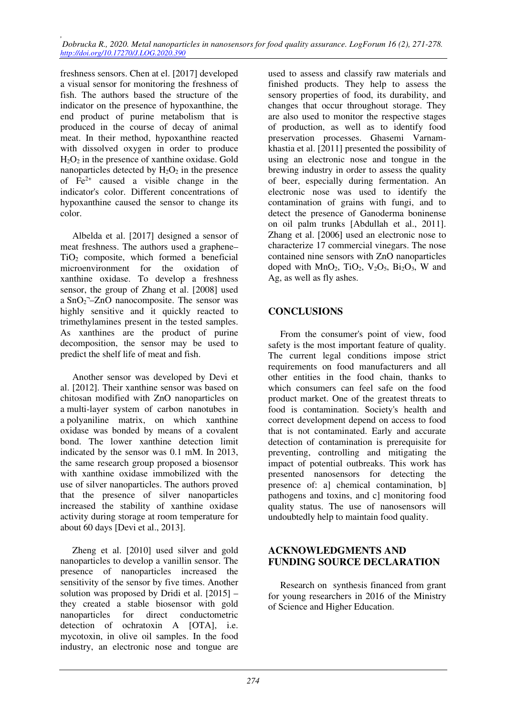freshness sensors. Chen at el. [2017] developed a visual sensor for monitoring the freshness of fish. The authors based the structure of the indicator on the presence of hypoxanthine, the end product of purine metabolism that is produced in the course of decay of animal meat. In their method, hypoxanthine reacted with dissolved oxygen in order to produce  $H_2O_2$  in the presence of xanthine oxidase. Gold nanoparticles detected by  $H_2O_2$  in the presence of  $Fe<sup>2+</sup>$  caused a visible change in the indicator's color. Different concentrations of hypoxanthine caused the sensor to change its color.

Albelda et al. [2017] designed a sensor of meat freshness. The authors used a graphene–  $TiO<sub>2</sub>$  composite, which formed a beneficial microenvironment for the oxidation of xanthine oxidase. To develop a freshness sensor, the group of Zhang et al. [2008] used a  $SnO<sub>2</sub> - ZnO$  nanocomposite. The sensor was highly sensitive and it quickly reacted to trimethylamines present in the tested samples. As xanthines are the product of purine decomposition, the sensor may be used to predict the shelf life of meat and fish.

Another sensor was developed by Devi et al. [2012]. Their xanthine sensor was based on chitosan modified with ZnO nanoparticles on a multi-layer system of carbon nanotubes in a polyaniline matrix, on which xanthine oxidase was bonded by means of a covalent bond. The lower xanthine detection limit indicated by the sensor was 0.1 mM. In 2013, the same research group proposed a biosensor with xanthine oxidase immobilized with the use of silver nanoparticles. The authors proved that the presence of silver nanoparticles increased the stability of xanthine oxidase activity during storage at room temperature for about 60 days [Devi et al., 2013].

Zheng et al. [2010] used silver and gold nanoparticles to develop a vanillin sensor. The presence of nanoparticles increased the sensitivity of the sensor by five times. Another solution was proposed by Dridi et al. [2015] – they created a stable biosensor with gold nanoparticles for direct conductometric detection of ochratoxin A [OTA], i.e. mycotoxin, in olive oil samples. In the food industry, an electronic nose and tongue are used to assess and classify raw materials and finished products. They help to assess the sensory properties of food, its durability, and changes that occur throughout storage. They are also used to monitor the respective stages of production, as well as to identify food preservation processes. Ghasemi Varnamkhastia et al. [2011] presented the possibility of using an electronic nose and tongue in the brewing industry in order to assess the quality of beer, especially during fermentation. An electronic nose was used to identify the contamination of grains with fungi, and to detect the presence of Ganoderma boninense on oil palm trunks [Abdullah et al., 2011]. Zhang et al. [2006] used an electronic nose to characterize 17 commercial vinegars. The nose contained nine sensors with ZnO nanoparticles doped with  $MnO_2$ , TiO<sub>2</sub>, V<sub>2</sub>O<sub>5</sub>, Bi<sub>2</sub>O<sub>3</sub>, W and Ag, as well as fly ashes.

# **CONCLUSIONS**

From the consumer's point of view, food safety is the most important feature of quality. The current legal conditions impose strict requirements on food manufacturers and all other entities in the food chain, thanks to which consumers can feel safe on the food product market. One of the greatest threats to food is contamination. Society's health and correct development depend on access to food that is not contaminated. Early and accurate detection of contamination is prerequisite for preventing, controlling and mitigating the impact of potential outbreaks. This work has presented nanosensors for detecting the presence of: a] chemical contamination, b] pathogens and toxins, and c] monitoring food quality status. The use of nanosensors will undoubtedly help to maintain food quality.

#### **ACKNOWLEDGMENTS AND FUNDING SOURCE DECLARATION**

Research on synthesis financed from grant for young researchers in 2016 of the Ministry of Science and Higher Education.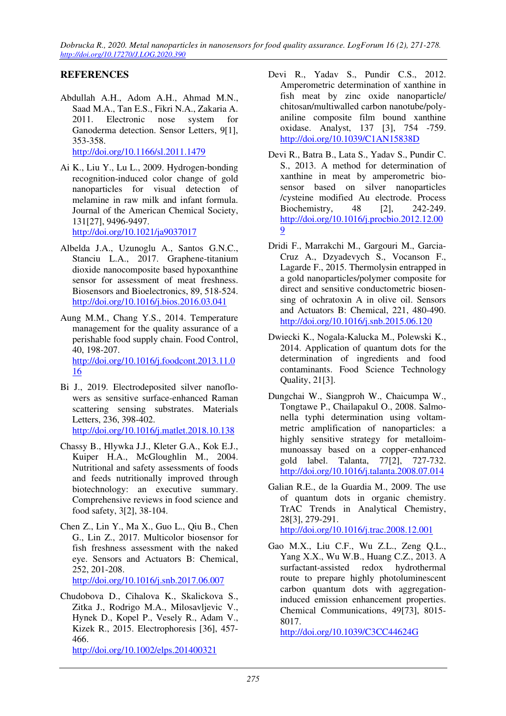*Dobrucka R., 2020. Metal nanoparticles in nanosensors for food quality assurance. LogForum 16 (2), 271-278. http://doi.org/10.17270/J.LOG.2020.390* 

## **REFERENCES**

- Abdullah A.H., Adom A.H., Ahmad M.N., Saad M.A., Tan E.S., Fikri N.A., Zakaria A. 2011. Electronic nose system for Ganoderma detection. Sensor Letters, 9[1], 353-358. http://doi.org/10.1166/sl.2011.1479
- Ai K., Liu Y., Lu L., 2009. Hydrogen-bonding recognition-induced color change of gold nanoparticles for visual detection of melamine in raw milk and infant formula. Journal of the American Chemical Society, 131[27], 9496-9497. http://doi.org/10.1021/ja9037017
- Albelda J.A., Uzunoglu A., Santos G.N.C., Stanciu L.A., 2017. Graphene-titanium dioxide nanocomposite based hypoxanthine sensor for assessment of meat freshness. Biosensors and Bioelectronics, 89, 518-524. http://doi.org/10.1016/j.bios.2016.03.041
- Aung M.M., Chang Y.S., 2014. Temperature management for the quality assurance of a perishable food supply chain. Food Control, 40, 198-207. http://doi.org/10.1016/j.foodcont.2013.11.0 16
- Bi J., 2019. Electrodeposited silver nanoflowers as sensitive surface-enhanced Raman scattering sensing substrates. Materials Letters, 236, 398-402. http://doi.org/10.1016/j.matlet.2018.10.138
- Chassy B., Hlywka J.J., Kleter G.A., Kok E.J., Kuiper H.A., McGloughlin M., 2004. Nutritional and safety assessments of foods and feeds nutritionally improved through biotechnology: an executive summary. Comprehensive reviews in food science and food safety, 3[2], 38-104.
- Chen Z., Lin Y., Ma X., Guo L., Qiu B., Chen G., Lin Z., 2017. Multicolor biosensor for fish freshness assessment with the naked eye. Sensors and Actuators B: Chemical, 252, 201-208.
	- http://doi.org/10.1016/j.snb.2017.06.007
- Chudobova D., Cihalova K., Skalickova S., Zitka J., Rodrigo M.A., Milosavljevic V., Hynek D., Kopel P., Vesely R., Adam V., Kizek R., 2015. Electrophoresis [36], 457- 466. http://doi.org/10.1002/elps.201400321
- Devi R., Yadav S., Pundir C.S., 2012. Amperometric determination of xanthine in fish meat by zinc oxide nanoparticle/ chitosan/multiwalled carbon nanotube/polyaniline composite film bound xanthine oxidase. Analyst, 137 [3], 754 -759. http://doi.org/10.1039/C1AN15838D
- Devi R., Batra B., Lata S., Yadav S., Pundir C. S., 2013. A method for determination of xanthine in meat by amperometric biosensor based on silver nanoparticles /cysteine modified Au electrode. Process Biochemistry, 48 [2], 242-249. http://doi.org/10.1016/j.procbio.2012.12.00 9
- Dridi F., Marrakchi M., Gargouri M., Garcia-Cruz A., Dzyadevych S., Vocanson F., Lagarde F., 2015. Thermolysin entrapped in a gold nanoparticles/polymer composite for direct and sensitive conductometric biosensing of ochratoxin A in olive oil. Sensors and Actuators B: Chemical, 221, 480-490. http://doi.org/10.1016/j.snb.2015.06.120
- Dwiecki K., Nogala-Kalucka M., Polewski K., 2014. Application of quantum dots for the determination of ingredients and food contaminants. Food Science Technology Quality, 21[3].
- Dungchai W., Siangproh W., Chaicumpa W., Tongtawe P., Chailapakul O., 2008. Salmonella typhi determination using voltammetric amplification of nanoparticles: a highly sensitive strategy for metalloimmunoassay based on a copper-enhanced gold label. Talanta, 77[2], 727-732. http://doi.org/10.1016/j.talanta.2008.07.014
- Galian R.E., de la Guardia M., 2009. The use of quantum dots in organic chemistry. TrAC Trends in Analytical Chemistry, 28[3], 279-291.

http://doi.org/10.1016/j.trac.2008.12.001

Gao M.X., Liu C.F., Wu Z.L., Zeng Q.L., Yang X.X., Wu W.B., Huang C.Z., 2013. A surfactant-assisted redox hydrothermal route to prepare highly photoluminescent carbon quantum dots with aggregationinduced emission enhancement properties. Chemical Communications, 49[73], 8015- 8017.

http://doi.org/10.1039/C3CC44624G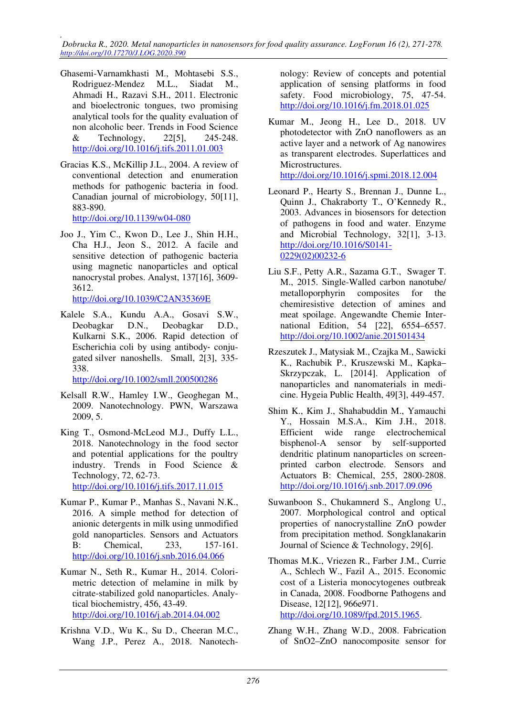*, Dobrucka R., 2020. Metal nanoparticles in nanosensors for food quality assurance. LogForum 16 (2), 271-278. http://doi.org/10.17270/J.LOG.2020.390* 

- Ghasemi-Varnamkhasti M., Mohtasebi S.S., Rodriguez-Mendez M.L., Siadat M., Ahmadi H., Razavi S.H., 2011. Electronic and bioelectronic tongues, two promising analytical tools for the quality evaluation of non alcoholic beer. Trends in Food Science & Technology, 22[5], 245-248. http://doi.org/10.1016/j.tifs.2011.01.003
- Gracias K.S., McKillip J.L., 2004. A review of conventional detection and enumeration methods for pathogenic bacteria in food. Canadian journal of microbiology, 50[11], 883-890.

http://doi.org/10.1139/w04-080

Joo J., Yim C., Kwon D., Lee J., Shin H.H., Cha H.J., Jeon S., 2012. A facile and sensitive detection of pathogenic bacteria using magnetic nanoparticles and optical nanocrystal probes. Analyst, 137[16], 3609- 3612.

http://doi.org/10.1039/C2AN35369E

Kalele S.A., Kundu A.A., Gosavi S.W., Deobagkar D.N., Deobagkar D.D., Kulkarni S.K., 2006. Rapid detection of Escherichia coli by using antibody‐ conjugated silver nanoshells. Small, 2[3], 335- 338.

http://doi.org/10.1002/smll.200500286

- Kelsall R.W., Hamley I.W., Geoghegan M., 2009. Nanotechnology. PWN, Warszawa 2009, 5.
- King T., Osmond-McLeod M.J., Duffy L.L., 2018. Nanotechnology in the food sector and potential applications for the poultry industry. Trends in Food Science & Technology, 72, 62-73. http://doi.org/10.1016/j.tifs.2017.11.015
- Kumar P., Kumar P., Manhas S., Navani N.K., 2016. A simple method for detection of anionic detergents in milk using unmodified gold nanoparticles. Sensors and Actuators B: Chemical, 233, 157-161. http://doi.org/10.1016/j.snb.2016.04.066
- Kumar N., Seth R., Kumar H., 2014. Colorimetric detection of melamine in milk by citrate-stabilized gold nanoparticles. Analytical biochemistry, 456, 43-49. http://doi.org/10.1016/j.ab.2014.04.002
- Krishna V.D., Wu K., Su D., Cheeran M.C., Wang J.P., Perez A., 2018. Nanotech-

nology: Review of concepts and potential application of sensing platforms in food safety. Food microbiology, 75, 47-54. http://doi.org/10.1016/j.fm.2018.01.025

- Kumar M., Jeong H., Lee D., 2018. UV photodetector with ZnO nanoflowers as an active layer and a network of Ag nanowires as transparent electrodes. Superlattices and Microstructures. http://doi.org/10.1016/j.spmi.2018.12.004
- Leonard P., Hearty S., Brennan J., Dunne L., Quinn J., Chakraborty T., O'Kennedy R., 2003. Advances in biosensors for detection of pathogens in food and water. Enzyme and Microbial Technology, 32[1], 3-13. http://doi.org/10.1016/S0141- 0229(02)00232-6
- Liu S.F., Petty A.R., Sazama G.T., Swager T. M., 2015. Single-Walled carbon nanotube/ metalloporphyrin composites for the chemiresistive detection of amines and meat spoilage. Angewandte Chemie International Edition, 54 [22], 6554–6557. http://doi.org/10.1002/anie.201501434
- Rzeszutek J., Matysiak M., Czajka M., Sawicki K., Rachubik P., Kruszewski M., Kapka– Skrzypczak, L. [2014]. Application of nanoparticles and nanomaterials in medicine. Hygeia Public Health, 49[3], 449-457.
- Shim K., Kim J., Shahabuddin M., Yamauchi Y., Hossain M.S.A., Kim J.H., 2018. Efficient wide range electrochemical bisphenol-A sensor by self-supported dendritic platinum nanoparticles on screenprinted carbon electrode. Sensors and Actuators B: Chemical, 255, 2800-2808. http://doi.org/10.1016/j.snb.2017.09.096
- Suwanboon S., Chukamnerd S., Anglong U., 2007. Morphological control and optical properties of nanocrystalline ZnO powder from precipitation method. Songklanakarin Journal of Science & Technology, 29[6].
- Thomas M.K., Vriezen R., Farber J.M., Currie A., Schlech W., Fazil A., 2015. Economic cost of a Listeria monocytogenes outbreak in Canada, 2008. Foodborne Pathogens and Disease, 12[12], 966e971. http://doi.org/10.1089/fpd.2015.1965.
- Zhang W.H., Zhang W.D., 2008. Fabrication of SnO2–ZnO nanocomposite sensor for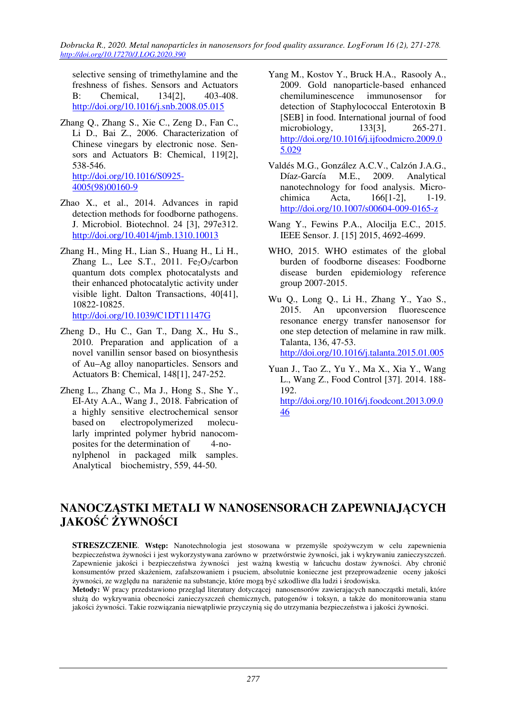*Dobrucka R., 2020. Metal nanoparticles in nanosensors for food quality assurance. LogForum 16 (2), 271-278. http://doi.org/10.17270/J.LOG.2020.390* 

selective sensing of trimethylamine and the freshness of fishes. Sensors and Actuators B: Chemical, 134[2], 403-408. http://doi.org/10.1016/j.snb.2008.05.015

- Zhang Q., Zhang S., Xie C., Zeng D., Fan C., Li D., Bai Z., 2006. Characterization of Chinese vinegars by electronic nose. Sensors and Actuators B: Chemical, 119[2], 538-546. http://doi.org/10.1016/S0925- 4005(98)00160-9
- Zhao X., et al., 2014. Advances in rapid detection methods for foodborne pathogens. J. Microbiol. Biotechnol. 24 [3], 297e312. http://doi.org/10.4014/jmb.1310.10013
- Zhang H., Ming H., Lian S., Huang H., Li H., Zhang L., Lee S.T., 2011.  $Fe<sub>2</sub>O<sub>3</sub>/carbon$ quantum dots complex photocatalysts and their enhanced photocatalytic activity under visible light. Dalton Transactions, 40[41], 10822-10825. http://doi.org/10.1039/C1DT11147G

- Zheng D., Hu C., Gan T., Dang X., Hu S., 2010. Preparation and application of a novel vanillin sensor based on biosynthesis of Au–Ag alloy nanoparticles. Sensors and Actuators B: Chemical, 148[1], 247-252.
- Zheng L., Zhang C., Ma J., Hong S., She Y., EI-Aty A.A., Wang J., 2018. Fabrication of a highly sensitive electrochemical sensor based on electropolymerized molecularly imprinted polymer hybrid nanocomposites for the determination of 4-nonylphenol in packaged milk samples. Analytical biochemistry, 559, 44-50.
- Yang M., Kostov Y., Bruck H.A., Rasooly A., 2009. Gold nanoparticle-based enhanced chemiluminescence immunosensor for detection of Staphylococcal Enterotoxin B [SEB] in food. International journal of food microbiology, 133[3], 265-271. http://doi.org/10.1016/j.ijfoodmicro.2009.0 5.029
- Valdés M.G., González A.C.V., Calzón J.A.G., Díaz-García M.E., 2009. Analytical nanotechnology for food analysis. Microchimica Acta, 166[1-2], 1-19. http://doi.org/10.1007/s00604-009-0165-z
- Wang Y., Fewins P.A., Alocilja E.C., 2015. IEEE Sensor. J. [15] 2015, 4692-4699.
- WHO, 2015. WHO estimates of the global burden of foodborne diseases: Foodborne disease burden epidemiology reference group 2007-2015.
- Wu Q., Long Q., Li H., Zhang Y., Yao S., 2015. An upconversion fluorescence resonance energy transfer nanosensor for one step detection of melamine in raw milk. Talanta, 136, 47-53. http://doi.org/10.1016/j.talanta.2015.01.005
- Yuan J., Tao Z., Yu Y., Ma X., Xia Y., Wang L., Wang Z., Food Control [37]. 2014. 188- 192. http://doi.org/10.1016/j.foodcont.2013.09.0

# **NANOCZĄSTKI METALI W NANOSENSORACH ZAPEWNIAJĄCYCH JAKOŚĆ ŻYWNOŚCI**

46

**STRESZCZENIE**. **Wstęp:** Nanotechnologia jest stosowana w przemyśle spożywczym w celu zapewnienia bezpieczeństwa żywności i jest wykorzystywana zarówno w przetwórstwie żywności, jak i wykrywaniu zanieczyszczeń. Zapewnienie jakości i bezpieczeństwa żywności jest ważną kwestią w łańcuchu dostaw żywności. Aby chronić konsumentów przed skażeniem, zafałszowaniem i psuciem, absolutnie konieczne jest przeprowadzenie oceny jakości żywności, ze względu na narażenie na substancje, które mogą być szkodliwe dla ludzi i środowiska.

**Metody:** W pracy przedstawiono przegląd literatury dotyczącej nanosensorów zawierających nanocząstki metali, które służą do wykrywania obecności zanieczyszczeń chemicznych, patogenów i toksyn, a także do monitorowania stanu jakości żywności. Takie rozwiązania niewątpliwie przyczynią się do utrzymania bezpieczeństwa i jakości żywności.